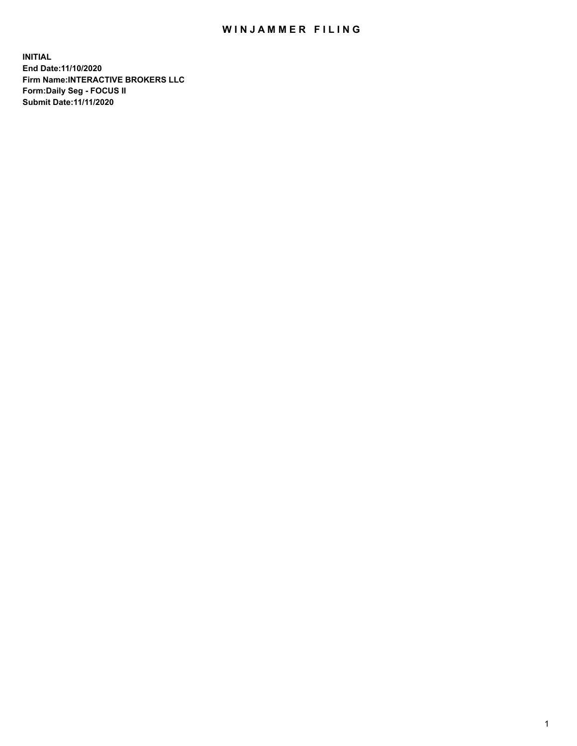## WIN JAMMER FILING

**INITIAL End Date:11/10/2020 Firm Name:INTERACTIVE BROKERS LLC Form:Daily Seg - FOCUS II Submit Date:11/11/2020**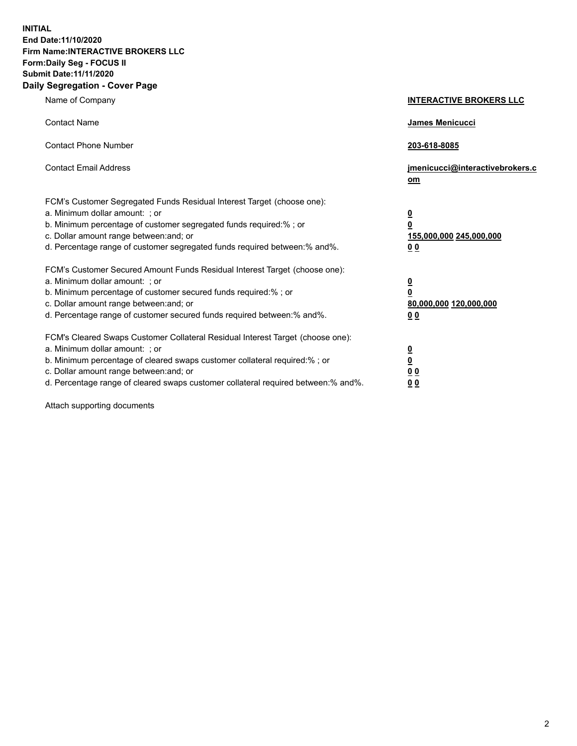**INITIAL End Date:11/10/2020 Firm Name:INTERACTIVE BROKERS LLC Form:Daily Seg - FOCUS II Submit Date:11/11/2020 Daily Segregation - Cover Page**

| Name of Company                                                                                                                                                                                                                                                                                                                | <b>INTERACTIVE BROKERS LLC</b>                                                  |
|--------------------------------------------------------------------------------------------------------------------------------------------------------------------------------------------------------------------------------------------------------------------------------------------------------------------------------|---------------------------------------------------------------------------------|
| <b>Contact Name</b>                                                                                                                                                                                                                                                                                                            | James Menicucci                                                                 |
| <b>Contact Phone Number</b>                                                                                                                                                                                                                                                                                                    | 203-618-8085                                                                    |
| <b>Contact Email Address</b>                                                                                                                                                                                                                                                                                                   | jmenicucci@interactivebrokers.c<br>om                                           |
| FCM's Customer Segregated Funds Residual Interest Target (choose one):<br>a. Minimum dollar amount: ; or<br>b. Minimum percentage of customer segregated funds required:%; or<br>c. Dollar amount range between: and; or<br>d. Percentage range of customer segregated funds required between:% and%.                          | <u>0</u><br>$\overline{\mathbf{0}}$<br>155,000,000 245,000,000<br><u>00</u>     |
| FCM's Customer Secured Amount Funds Residual Interest Target (choose one):<br>a. Minimum dollar amount: ; or<br>b. Minimum percentage of customer secured funds required:% ; or<br>c. Dollar amount range between: and; or<br>d. Percentage range of customer secured funds required between:% and%.                           | <u>0</u><br>$\overline{\mathbf{0}}$<br>80,000,000 120,000,000<br>0 <sub>0</sub> |
| FCM's Cleared Swaps Customer Collateral Residual Interest Target (choose one):<br>a. Minimum dollar amount: ; or<br>b. Minimum percentage of cleared swaps customer collateral required:% ; or<br>c. Dollar amount range between: and; or<br>d. Percentage range of cleared swaps customer collateral required between:% and%. | <u>0</u><br>$\underline{\mathbf{0}}$<br>0 <sub>0</sub><br>0 <sub>0</sub>        |

Attach supporting documents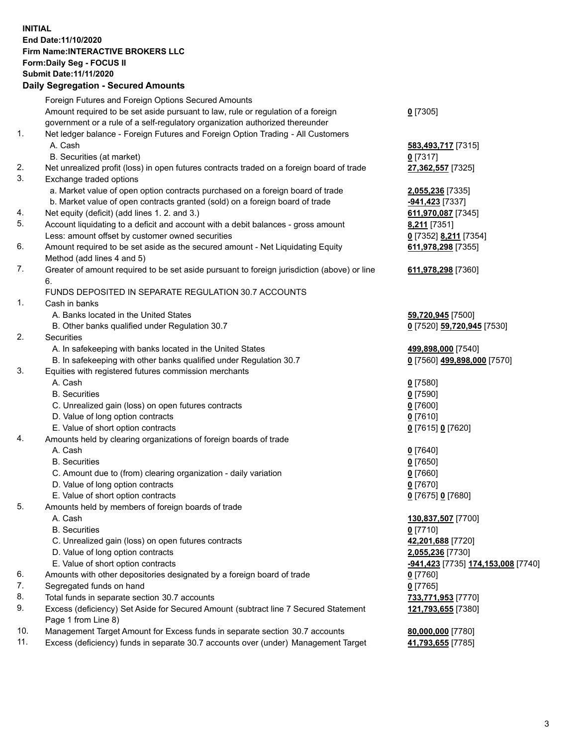## **INITIAL End Date:11/10/2020 Firm Name:INTERACTIVE BROKERS LLC Form:Daily Seg - FOCUS II Submit Date:11/11/2020 Daily Segregation - Secured Amounts**

|     | Dany Ocgregation - Occarea Amounts                                                                         |                             |
|-----|------------------------------------------------------------------------------------------------------------|-----------------------------|
|     | Foreign Futures and Foreign Options Secured Amounts                                                        |                             |
|     | Amount required to be set aside pursuant to law, rule or regulation of a foreign                           | $0$ [7305]                  |
|     | government or a rule of a self-regulatory organization authorized thereunder                               |                             |
| 1.  | Net ledger balance - Foreign Futures and Foreign Option Trading - All Customers                            |                             |
|     | A. Cash                                                                                                    | 583,493,717 [7315]          |
|     | B. Securities (at market)                                                                                  | $0$ [7317]                  |
| 2.  | Net unrealized profit (loss) in open futures contracts traded on a foreign board of trade                  | 27,362,557 [7325]           |
| 3.  | Exchange traded options                                                                                    |                             |
|     | a. Market value of open option contracts purchased on a foreign board of trade                             | 2,055,236 [7335]            |
|     | b. Market value of open contracts granted (sold) on a foreign board of trade                               | -941,423 [7337]             |
| 4.  | Net equity (deficit) (add lines 1. 2. and 3.)                                                              | 611,970,087 [7345]          |
| 5.  | Account liquidating to a deficit and account with a debit balances - gross amount                          | 8,211 [7351]                |
|     | Less: amount offset by customer owned securities                                                           | 0 [7352] 8,211 [7354]       |
| 6.  | Amount required to be set aside as the secured amount - Net Liquidating Equity                             | 611,978,298 [7355]          |
|     | Method (add lines 4 and 5)                                                                                 |                             |
| 7.  | Greater of amount required to be set aside pursuant to foreign jurisdiction (above) or line<br>6.          | 611,978,298 [7360]          |
|     | FUNDS DEPOSITED IN SEPARATE REGULATION 30.7 ACCOUNTS                                                       |                             |
| 1.  | Cash in banks                                                                                              |                             |
|     | A. Banks located in the United States                                                                      | 59,720,945 [7500]           |
|     | B. Other banks qualified under Regulation 30.7                                                             | 0 [7520] 59,720,945 [7530]  |
| 2.  | Securities                                                                                                 |                             |
|     | A. In safekeeping with banks located in the United States                                                  | 499,898,000 [7540]          |
|     | B. In safekeeping with other banks qualified under Regulation 30.7                                         | 0 [7560] 499,898,000 [7570] |
| 3.  | Equities with registered futures commission merchants                                                      |                             |
|     | A. Cash                                                                                                    | $0$ [7580]                  |
|     | <b>B.</b> Securities                                                                                       | $0$ [7590]                  |
|     | C. Unrealized gain (loss) on open futures contracts                                                        | $0$ [7600]                  |
|     | D. Value of long option contracts                                                                          | $0$ [7610]                  |
|     | E. Value of short option contracts                                                                         | 0 [7615] 0 [7620]           |
| 4.  | Amounts held by clearing organizations of foreign boards of trade                                          |                             |
|     | A. Cash                                                                                                    | $0$ [7640]                  |
|     | <b>B.</b> Securities                                                                                       | $0$ [7650]                  |
|     | C. Amount due to (from) clearing organization - daily variation                                            | $0$ [7660]                  |
|     | D. Value of long option contracts                                                                          | $0$ [7670]                  |
|     | E. Value of short option contracts                                                                         | 0 [7675] 0 [7680]           |
| 5.  | Amounts held by members of foreign boards of trade                                                         |                             |
|     | A. Cash                                                                                                    | 130,837,507 [7700]          |
|     | <b>B.</b> Securities                                                                                       | $0$ [7710]                  |
|     | C. Unrealized gain (loss) on open futures contracts                                                        | 42,201,688 [7720]           |
|     | D. Value of long option contracts                                                                          | 2,055,236 [7730]            |
|     | E. Value of short option contracts                                                                         |                             |
| 6.  | Amounts with other depositories designated by a foreign board of trade                                     | 0 [7760]                    |
| 7.  | Segregated funds on hand                                                                                   | $0$ [7765]                  |
| 8.  | Total funds in separate section 30.7 accounts                                                              | 733,771,953 [7770]          |
| 9.  | Excess (deficiency) Set Aside for Secured Amount (subtract line 7 Secured Statement<br>Page 1 from Line 8) | 121,793,655 [7380]          |
| 10. | Management Target Amount for Excess funds in separate section 30.7 accounts                                | 80,000,000 [7780]           |
| 11. | Excess (deficiency) funds in separate 30.7 accounts over (under) Management Target                         | 41,793,655 [7785]           |
|     |                                                                                                            |                             |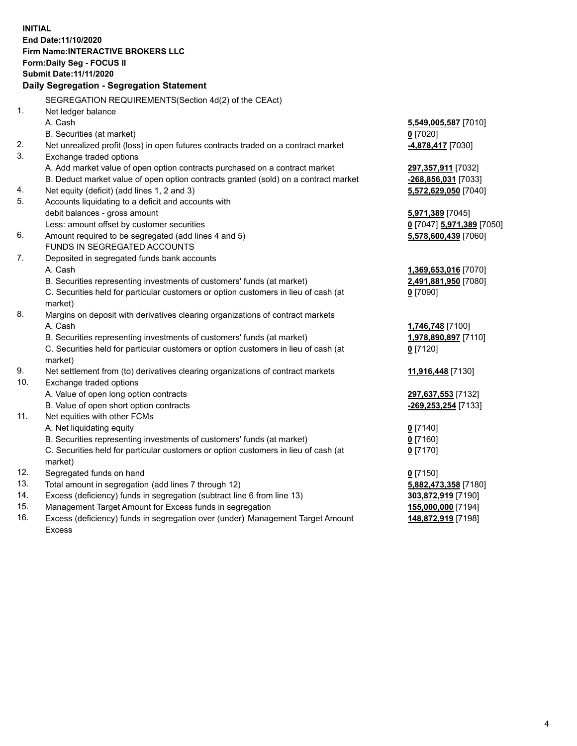**INITIAL End Date:11/10/2020 Firm Name:INTERACTIVE BROKERS LLC Form:Daily Seg - FOCUS II Submit Date:11/11/2020 Daily Segregation - Segregation Statement** SEGREGATION REQUIREMENTS(Section 4d(2) of the CEAct) 1. Net ledger balance A. Cash **5,549,005,587** [7010] B. Securities (at market) **0** [7020] 2. Net unrealized profit (loss) in open futures contracts traded on a contract market **-4,878,417** [7030] 3. Exchange traded options A. Add market value of open option contracts purchased on a contract market **297,357,911** [7032] B. Deduct market value of open option contracts granted (sold) on a contract market **-268,856,031** [7033] 4. Net equity (deficit) (add lines 1, 2 and 3) **5,572,629,050** [7040] 5. Accounts liquidating to a deficit and accounts with debit balances - gross amount **5,971,389** [7045] Less: amount offset by customer securities **0** [7047] **5,971,389** [7050] 6. Amount required to be segregated (add lines 4 and 5) **5,578,600,439** [7060] FUNDS IN SEGREGATED ACCOUNTS 7. Deposited in segregated funds bank accounts A. Cash **1,369,653,016** [7070] B. Securities representing investments of customers' funds (at market) **2,491,881,950** [7080] C. Securities held for particular customers or option customers in lieu of cash (at market) **0** [7090] 8. Margins on deposit with derivatives clearing organizations of contract markets A. Cash **1,746,748** [7100] B. Securities representing investments of customers' funds (at market) **1,978,890,897** [7110] C. Securities held for particular customers or option customers in lieu of cash (at market) **0** [7120] 9. Net settlement from (to) derivatives clearing organizations of contract markets **11,916,448** [7130] 10. Exchange traded options A. Value of open long option contracts **297,637,553** [7132] B. Value of open short option contracts **-269,253,254** [7133] 11. Net equities with other FCMs A. Net liquidating equity **0** [7140] B. Securities representing investments of customers' funds (at market) **0** [7160] C. Securities held for particular customers or option customers in lieu of cash (at market) **0** [7170] 12. Segregated funds on hand **0** [7150] 13. Total amount in segregation (add lines 7 through 12) **5,882,473,358** [7180] 14. Excess (deficiency) funds in segregation (subtract line 6 from line 13) **303,872,919** [7190] 15. Management Target Amount for Excess funds in segregation **155,000,000** [7194] 16. Excess (deficiency) funds in segregation over (under) Management Target Amount Excess **148,872,919** [7198]